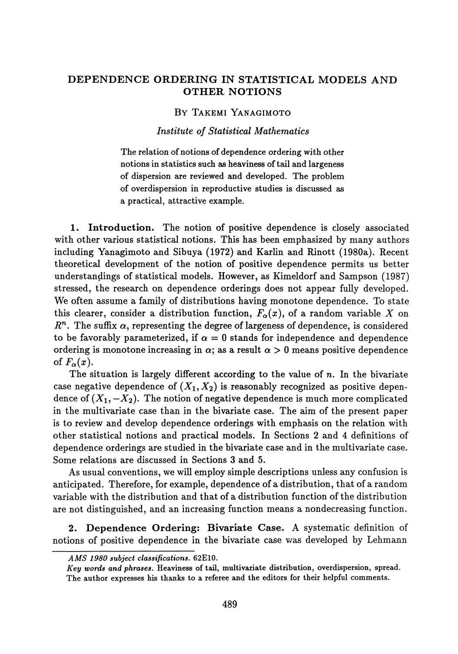## **DEPENDENCE ORDERING IN STATISTICAL MODELS AND OTHER NOTIONS**

## BY TAKEMI YANAGIMOTO

## *Institute of Statistical Mathematics*

The relation of notions of dependence ordering with other notions in statistics such as heaviness of tail and largeness of dispersion are reviewed and developed. The problem of over dispersion in reproductive studies is discussed as a practical, attractive example.

**1. Introduction.** The notion of positive dependence is closely associated with other various statistical notions. This has been emphasized by many authors including Yanagimoto and Sibuya (1972) and Karlin and Rinott (1980a). Recent theoretical development of the notion of positive dependence permits us better understandings of statistical models. However, as Kimeldorf and Sampson (1987) stressed, the research on dependence orderings does not appear fully developed. We often assume a family of distributions having monotone dependence. To state this clearer, consider a distribution function,  $F_\alpha(x)$ , of a random variable  $X$  on  $R<sup>n</sup>$ . The suffix  $\alpha$ , representing the degree of largeness of dependence, is considered to be favorably parameterized, if  $\alpha = 0$  stands for independence and dependence ordering is monotone increasing in  $\alpha$ ; as a result  $\alpha > 0$  means positive dependence of  $F_\alpha(x)$ .

The situation is largely different according to the value of  $n$ . In the bivariate case negative dependence of  $(X_1, X_2)$  is reasonably recognized as positive dependence of  $(X_1, -X_2)$ . The notion of negative dependence is much more complicated in the multivariate case than in the bivariate case. The aim of the present paper is to review and develop dependence orderings with emphasis on the relation with other statistical notions and practical models. In Sections 2 and 4 definitions of dependence orderings are studied in the bivariate case and in the multivariate case. Some relations are discussed in Sections 3 and 5.

As usual conventions, we will employ simple descriptions unless any confusion is anticipated. Therefore, for example, dependence of a distribution, that of a random variable with the distribution and that of a distribution function of the distribution are not distinguished, and an increasing function means a nondecreasing function.

**2. Dependence Ordering: Bivariate Case** A systematic definition of notions of positive dependence in the bivariate case was developed by Lehmann

*Key words and phrases.* **Heaviness of tail, multivariate distribution, over dispersion, spread. The author expresses his thanks to a referee and the editors for their helpful comments.**

*AMS 1980 subject classifications.* **62E10.**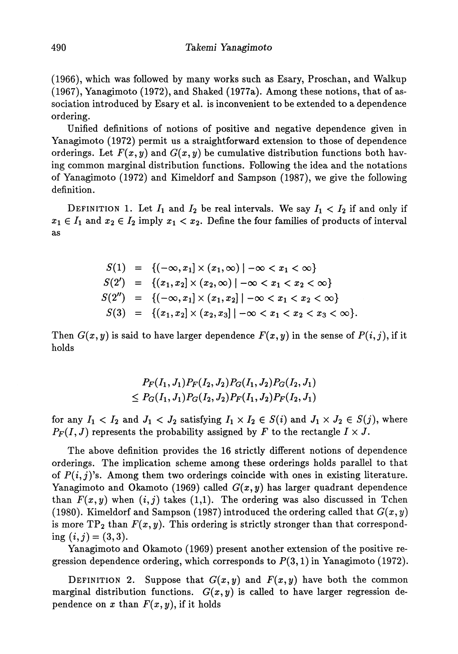(1966), which was followed by many works such as Esary, Proschan, and Walkup (1967), Yanagimoto (1972), and Shaked (1977a). Among these notions, that of as sociation introduced by Esary et al. is inconvenient to be extended to a dependence ordering.

Unified definitions of notions of positive and negative dependence given in Yanagimoto (1972) permit us a straightforward extension to those of dependence orderings. Let  $F(x, y)$  and  $G(x, y)$  be cumulative distribution functions both having common marginal distribution functions. Following the idea and the notations of Yanagimoto (1972) and Kimeldorf and Sampson (1987), we give the following definition.

DEFINITION 1. Let  $I_1$  and  $I_2$  be real intervals. We say  $I_1 < I_2$  if and only if  $x_1 \in I_1$  and  $x_2 \in I_2$  imply  $x_1 < x_2$ . Define the four families of products of interval as

$$
S(1) = \{(-\infty, x_1] \times (x_1, \infty) \mid -\infty < x_1 < \infty\}
$$
\n
$$
S(2') = \{(x_1, x_2] \times (x_2, \infty) \mid -\infty < x_1 < x_2 < \infty\}
$$
\n
$$
S(2'') = \{(-\infty, x_1] \times (x_1, x_2] \mid -\infty < x_1 < x_2 < \infty\}
$$
\n
$$
S(3) = \{(x_1, x_2] \times (x_2, x_3) \mid -\infty < x_1 < x_2 < x_3 < \infty\}.
$$

Then  $G(x, y)$  is said to have larger dependence  $F(x, y)$  in the sense of  $P(i, j)$ , if it holds

$$
P_F(I_1, J_1)P_F(I_2, J_2)P_G(I_1, J_2)P_G(I_2, J_1) \le P_G(I_1, J_1)P_G(I_2, J_2)P_F(I_1, J_2)P_F(I_2, J_1)
$$

for any  $I_1 < I_2$  and  $J_1 < J_2$  satisfying  $I_1 \times I_2 \in S(i)$  and  $J_1 \times J_2 \in S(j)$ , where  $P_F(I, J)$  represents the probability assigned by *F* to the rectangle  $I \times J$ .

The above definition provides the 16 strictly different notions of dependence orderings. The implication scheme among these orderings holds parallel to that of  $P(i, j)$ 's. Among them two orderings coincide with ones in existing literature. Yanagimoto and Okamoto (1969) called  $G(x, y)$  has larger quadrant dependence than  $F(x, y)$  when  $(i, j)$  takes  $(1, 1)$ . The ordering was also discussed in Tchen (1980). Kimeldorf and Sampson (1987) introduced the ordering called that  $G(x, y)$ is more  $\mathrm{TP}_2$  than  $F(x,y).$  This ordering is strictly stronger than that correspond ing  $(i, j) = (3, 3)$ .

Yanagimoto and Okamoto (1969) present another extension of the positive re gression dependence ordering, which corresponds to  $P(3,1)$  in Yanagimoto (1972).

DEFINITION 2. Suppose that  $G(x, y)$  and  $F(x, y)$  have both the common marginal distribution functions.  $G(x, y)$  is called to have larger regression dependence on x than  $F(x, y)$ , if it holds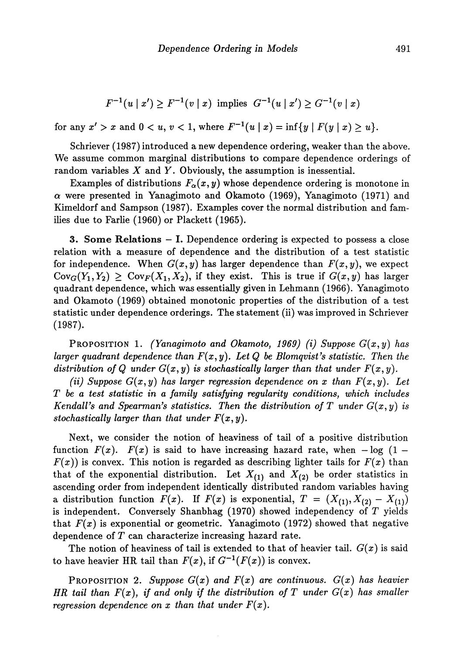$$
F^{-1}(u \mid x') \ge F^{-1}(v \mid x) \text{ implies } G^{-1}(u \mid x') \ge G^{-1}(v \mid x)
$$

for any  $x' > x$  and  $0 < u, v < 1$ , where  $F^{-1}(u \mid x) = \inf\{y \mid F(y \mid x) \ge u\}.$ 

Schriever (1987) introduced a new dependence ordering, weaker than the above. We assume common marginal distributions to compare dependence orderings of random variables *X* and *Y.* Obviously, the assumption is inessential.

Examples of distributions  $F_\alpha(x,y)$  whose dependence ordering is monotone in  $\alpha$  were presented in Yanagimoto and Okamoto (1969), Yanagimoto (1971) and Kimeldorf and Sampson (1987). Examples cover the normal distribution and fam ilies due to Farlie (1960) or Plackett (1965).

3. Some **Relations** — **I.** Dependence ordering is expected to possess a close relation with a measure of dependence and the distribution of a test statistic for independence. When  $G(x, y)$  has larger dependence than  $F(x, y)$ , we expect  $Cov_G(Y_1, Y_2) \geq Cov_F(X_1, X_2)$ , if they exist. This is true if  $G(x, y)$  has larger quadrant dependence, which was essentially given in Lehmann (1966). Yanagimoto and Okamoto (1969) obtained monotonic properties of the distribution of a test statistic under dependence orderings. The statement (ii) was improved in Schriever (1987).

PROPOSITION 1. *(Yanagimoto and Okamoto, 1969) (i) Suppose G(x,y) has larger quadrant dependence than F(x,y). Let Q be Blomqυist's statistic. Then the distribution of Q under*  $G(x, y)$  *is stochastically larger than that under*  $F(x, y)$ *.* 

*(ii) Suppose*  $G(x, y)$  *has larger regression dependence on x than*  $F(x, y)$ *. Let T be a test statistic in a family satisfying regularity conditions, which includes Kendall's and Spearman's statistics. Then the distribution of T under*  $G(x, y)$  *is stochastically larger than that under F(x,y).*

Next, we consider the notion of heaviness of tail of a positive distribution function  $F(x)$ .  $F(x)$  is said to have increasing hazard rate, when  $-\log(1 F(x)$ ) is convex. This notion is regarded as describing lighter tails for  $F(x)$  than that of the exponential distribution. Let  $X_{(1)}$  and  $X_{(2)}$  be order statistics in ascending order from independent identically distributed random variables having a distribution function  $F(x)$ . If  $F(x)$  is exponential,  $T = (X_{(1)}, X_{(2)} - X_{(1)})$ is independent. Conversely Shanbhag (1970) showed independency of *T* yields that  $F(x)$  is exponential or geometric. Yanagimoto (1972) showed that negative dependence of *T* can characterize increasing hazard rate.

The notion of heaviness of tail is extended to that of heavier tail.  $G(x)$  is said to have heavier HR tail than  $F(x)$ , if  $G^{-1}(F(x))$  is convex.

PROPOSITION 2. *Suppose G(x) and F(x) are continuous. G(x) has heavier HR tail than F(x), if and only if the distribution of T under G(x) has smaller regression dependence on x than that under F(x).*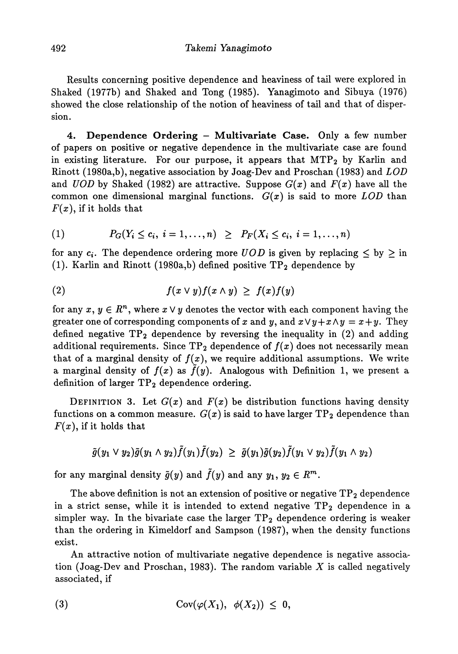Results concerning positive dependence and heaviness of tail were explored in Shaked (1977b) and Shaked and Tong (1985). Yanagimoto and Sibuya (1976) showed the close relationship of the notion of heaviness of tail and that of disper sion.

**4. Dependence Ordering — Multivariate Case.** Only a few number of papers on positive or negative dependence in the multivariate case are found in existing literature. For our purpose, it appears that  $MTP<sub>2</sub>$  by Karlin and Rinott (1980a,b), negative association by Joag-Dev and Proschan (1983) and *LOD* and *UOD* by Shaked (1982) are attractive. Suppose  $G(x)$  and  $F(x)$  have all the common one dimensional marginal functions.  $G(x)$  is said to more  $LOD$  than  $F(x)$ , if it holds that

(1) 
$$
P_G(Y_i \le c_i, i = 1,...,n) \ge P_F(X_i \le c_i, i = 1,...,n)
$$

for any  $c_i$ . The dependence ordering more  $UOD$  is given by replacing  $\leq$  by  $\geq$  in (1). Karlin and Rinott (1980a,b) defined positive  $TP_2$  dependence by

$$
(2) \t f(x \vee y) f(x \wedge y) \geq f(x) f(y)
$$

for any  $x, y \in R^n$ , where  $x \vee y$  denotes the vector with each component having the greater one of corresponding components of x and y, and  $x\vee y + x\wedge y = x + y$ . They defined negative  $TP_2$  dependence by reversing the inequality in (2) and adding additional requirements. Since  $TP_2$  dependence of  $f(x)$  does not necessarily mean that of a marginal density of  $f(x)$ , we require additional assumptions. We write a marginal density of  $f(x)$  as  $\tilde{f}(y)$ . Analogous with Definition 1, we present a definition of larger  $TP_2$  dependence ordering.

DEFINITION 3. Let  $G(x)$  and  $F(x)$  be distribution functions having density functions on a common measure.  $G(x)$  is said to have larger  $TP_2$  dependence than  $F(x)$ , if it holds that

$$
\tilde{g}(y_1 \vee y_2)\tilde{g}(y_1 \wedge y_2)\tilde{f}(y_1)\tilde{f}(y_2) \geq \tilde{g}(y_1)\tilde{g}(y_2)\tilde{f}(y_1 \vee y_2)\tilde{f}(y_1 \wedge y_2)
$$

for any marginal density  $\tilde{g}(y)$  and  $\tilde{f}(y)$  and any  $y_1,\,y_2\in R^m.$ 

The above definition is not an extension of positive or negative  $TP<sub>2</sub>$  dependence in a strict sense, while it is intended to extend negative  $TP_2$  dependence in a simpler way. In the bivariate case the larger  $TP_2$  dependence ordering is weaker than the ordering in Kimeldorf and Sampson (1987), when the density functions exist.

An attractive notion of multivariate negative dependence is negative association (Joag-Dev and Proschan, 1983). The random variable *X* is called negatively associated, if

(3) 
$$
Cov(\varphi(X_1), \varphi(X_2)) \leq 0,
$$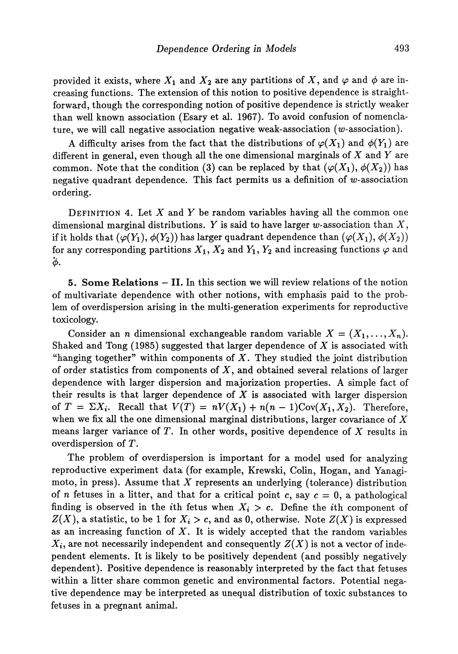provided it exists, where  $X_1$  and  $X_2$  are any partitions of X, and  $\varphi$  and  $\phi$  are increasing functions. The extension of this notion to positive dependence is straight forward, though the corresponding notion of positive dependence is strictly weaker than well known association (Esary et al. 1967). To avoid confusion of nomencla ture, we will call negative association negative weak-association (w-association).

A difficulty arises from the fact that the distributions of  $\varphi(X_1)$  and  $\varphi(Y_1)$  are different in general, even though all the one dimensional marginals of *X* and *Y* are common. Note that the condition (3) can be replaced by that  $(\varphi(X_1), \varphi(X_2))$  has negative quadrant dependence. This fact permits us a definition of w-association ordering.

DEFINITION 4. Let *X* and *Y* be random variables having all the common one dimensional marginal distributions. *Y* is said to have larger w-association than X, if it holds that  $(\varphi(Y_1),\phi(Y_2))$  has larger quadrant dependence than  $(\varphi(X_1),\phi(X_2))$ for any corresponding partitions  $X_1, X_2$  and  $Y_1, Y_2$  and increasing functions  $\varphi$  and *\*φ.*

5. Some **Relations** - **II.** In this section we will review relations of the notion of multivariate dependence with other notions, with emphasis paid to the prob lem of overdispersion arising in the multi-generation experiments for reproductive toxicology.

Consider an *n* dimensional exchangeable random variable  $X = (X_1, \ldots, X_n)$ Shaked and Tong (1985) suggested that larger dependence of *X* is associated with "hanging together" within components of *X.* They studied the joint distribution of order statistics from components of  $X$ , and obtained several relations of larger dependence with larger dispersion and majorization properties. A simple fact of their results is that larger dependence of  $X$  is associated with larger dispersion of  $T = \Sigma X_i$ . Recall that  $V(T) = nV(X_1) + n(n-1)Cov(X_1, X_2)$ . Therefore, when we fix all the one dimensional marginal distributions, larger covariance of  $X$ means larger variance of T. In other words, positive dependence of X results in overdispersion of Γ.

The problem of overdispersion is important for a model used for analyzing reproductive experiment data (for example, Krewski, Colin, Hogan, and Yanagi moto, in press). Assume that X represents an underlying (tolerance) distribution of *n* fetuses in a litter, and that for a critical point c, say  $c = 0$ , a pathological finding is observed in the *i*th fetus when  $X_i > c$ . Define the *i*th component of  $Z(X)$ , a statistic, to be 1 for  $X_i > c$ , and as 0, otherwise. Note  $Z(X)$  is expressed as an increasing function of  $X$ . It is widely accepted that the random variables  $X_i$ , are not necessarily independent and consequently  $Z(X)$  is not a vector of independent elements. It is likely to be positively dependent (and possibly negatively dependent). Positive dependence is reasonably interpreted by the fact that fetuses within a litter share common genetic and environmental factors. Potential negative dependence may be interpreted as unequal distribution of toxic substances to fetuses in a pregnant animal.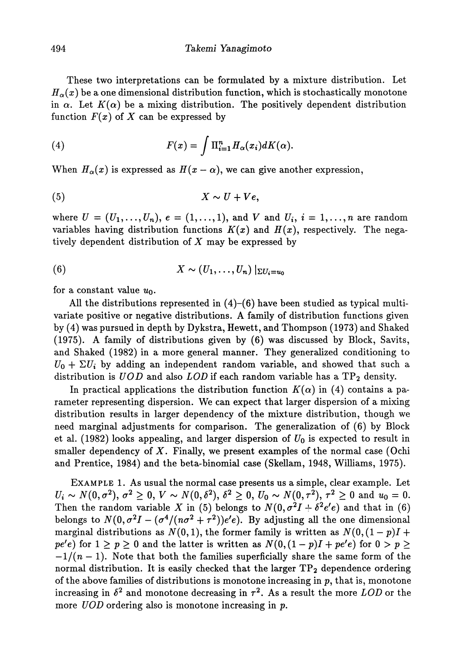These two interpretations can be formulated by a mixture distribution. Let  $\overline{H}_{\alpha}(x)$  be a one dimensional distribution function, which is stochastically monotone in  $\alpha$ . Let  $K(\alpha)$  be a mixing distribution. The positively dependent distribution function  $F(x)$  of X can be expressed by

(4) 
$$
F(x) = \int \Pi_{i=1}^{n} H_{\alpha}(x_{i}) dK(\alpha).
$$

When  $H_{\alpha}(x)$  is expressed as  $H(x-\alpha)$ , we can give another expression,

$$
(5) \t\t X \sim U + Ve,
$$

where  $U = (U_1, ..., U_n)$ ,  $e = (1, ..., 1)$ , and V and  $U_i$ ,  $i = 1, ..., n$  are random variables having distribution functions  $K(x)$  and  $H(x)$ , respectively. The negatively dependent distribution of *X* may be expressed by

(6) 
$$
X \sim (U_1, \ldots, U_n) |_{\Sigma U_i = u_0}
$$

for a constant value *UQ.*

All the distributions represented in  $(4)$ – $(6)$  have been studied as typical multivariate positive or negative distributions. A family of distribution functions given by (4) was pursued in depth by Dykstra, Hewett, and Thompson (1973) and Shaked (1975). A family of distributions given by (6) was discussed by Block, Savits, and Shaked (1982) in a more general manner. They generalized conditioning to  $U_0 + \Sigma U_i$  by adding an independent random variable, and showed that such a distribution is *UOD* and also *LOD* if each random variable has a TP2 density.

In practical applications the distribution function  $K(\alpha)$  in (4) contains a parameter representing dispersion. We can expect that larger dispersion of a mixing distribution results in larger dependency of the mixture distribution, though we need marginal adjustments for comparison. The generalization of (6) by Block et al. (1982) looks appealing, and larger dispersion of *Uo* is expected to result in smaller dependency of *X.* Finally, we present examples of the normal case (Ochi and Prentice, 1984) and the beta-binomial case (Skellam, 1948, Williams, 1975).

EXAMPLE 1. As usual the normal case presents us a simple, clear example. Let  $U_i \sim N(0, \sigma^2), \, \sigma^2 \geq 0, \, V \sim N(0, \delta^2), \, \delta^2 \geq 0, \, U_0 \sim N(0, \tau^2), \, \tau^2 \geq 0 \, \, \text{and} \, \, u_0 = 0.$ Then the random variable X in (5) belongs to  $N(0, \sigma^2 I + \delta^2 e' e)$  and that in (6) belongs to  $N(0, \sigma^2 I - (\sigma^4/(\eta \sigma^2 + \tau^2))e'e)$ . By adjusting all the one dimensional marginal distributions as  $N(0,1)$ , the former family is written as  $N(0, (1 - p)I +$  $pe'e$ ) for  $1 \ge p \ge 0$  and the latter is written as  $N(0, (1-p)I + pe'e)$  for  $0 > p \ge$  $-1/(n-1)$ . Note that both the families superficially share the same form of the normal distribution. It is easily checked that the larger  $TP_2$  dependence ordering of the above families of distributions is monotone increasing in  $p$ , that is, monotone increasing in  $\delta^2$  and monotone decreasing in  $\tau^2$ . As a result the more  $\emph{LOD}$  or the more *UOD* ordering also is monotone increasing in *p.*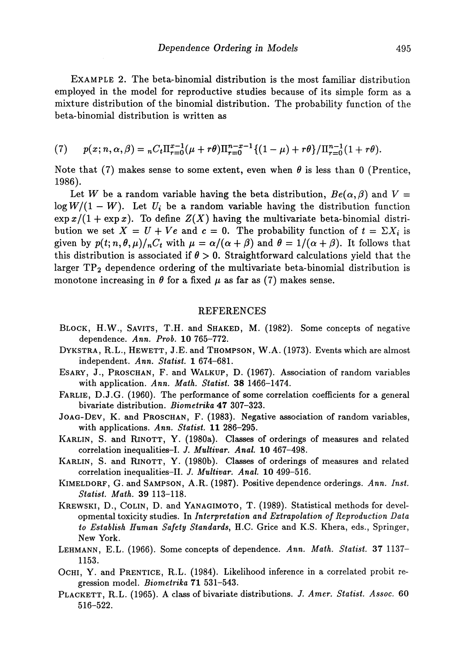EXAMPLE 2. The beta-binomial distribution is the most familiar distribution employed in the model for reproductive studies because of its simple form as a mixture distribution of the binomial distribution. The probability function of the beta-binomial distribution is written as

(7) 
$$
p(x; n, \alpha, \beta) = {}_{n}C_{t}\Pi_{r=0}^{x-1}(\mu + r\theta)\Pi_{r=0}^{n-x-1}\{(1-\mu) + r\theta\}/\Pi_{r=0}^{n-1}(1+r\theta).
$$

Note that (7) makes sense to some extent, even when  $\theta$  is less than 0 (Prentice, 1986).

Let *W* be a random variable having the beta distribution,  $Be(\alpha, \beta)$  and  $V =$  $\log W/(1 - W)$ . Let  $U_i$  be a random variable having the distribution function  $\exp x/(1 + \exp x)$ . To define  $Z(X)$  having the multivariate beta-binomial distribution we set  $X = U + Ve$  and  $c = 0$ . The probability function of  $t = \sum X_i$  is given by  $p(t; n, \theta, \mu)/_{n}C_{t}$  with  $\mu = \alpha/(\alpha + \beta)$  and  $\theta = 1/(\alpha + \beta)$ . It follows that this distribution is associated if *θ >* 0. Straightforward calculations yield that the larger  $TP_2$  dependence ordering of the multivariate beta-binomial distribution is monotone increasing in  $\theta$  for a fixed  $\mu$  as far as (7) makes sense.

## REFERENCES

- BLOCK, H.W., SAVITS, T.H. and SHARED, M. (1982). Some concepts of negative dependence. *Ann. Prob.* 10 765-772.
- DYKSTRA, R.L., HEWETT, J.E. and THOMPSON, W.A. (1973). Events which are almost independent. *Ann. Statist.* 1 674-681.
- ESARY, J., PROSCHAN, F. and WALKUP, D. (1967). Association of random variables with application. *Ann. Math. Statist.* 38 1466-1474.
- FARLIE, D.J.G. (1960). The performance of some correlation coefficients for a general bivariate distribution. *Biometrika* 47 307-323.
- JOAG-DEV, K. and PROSCHAN, F. (1983). Negative association of random variables, with applications. *Ann. Statist.* 11 286-295.
- KARLIN, S. and RINOTT, Y. (1980a). Classes of orderings of measures and related correlation inequalities-I. *J. Multivar. Anal.* 10 467-498.
- KARLIN, S. and RINOTT, Y. (1980b). Classes of orderings of measures and related correlation inequalities-II. *J. Multivar. Anal.* 10 499-516.
- KiMELDORF, G. and SAMPSON, A.R. (1987). Positive dependence orderings. *Ann. Inst. Statist. Math.* 39 113-118.
- KREWSKI, D., COLIN, D. and YANAGIMOTO, T. (1989). Statistical methods for devel opmental toxicity studies. In *Interpretation and Extrapolation of Reproduction Data to Establish Human Safety Standards,* H.C. Grice and K.S. Khera, eds., Springer, New York.
- LEHMANN, E.L. (1966). Some concepts of dependence. *Ann. Math. Statist.* 37 1137— 1153.
- OCHI, Y. and PRENTICE, R.L. (1984). Likelihood inference in a correlated probit re gression model. *Biometrika* 71 531-543.
- PLACKETT, R.L. (1965). A class of bivariate distributions. *J. Amer. Statist. Assoc.* 60 516-522.